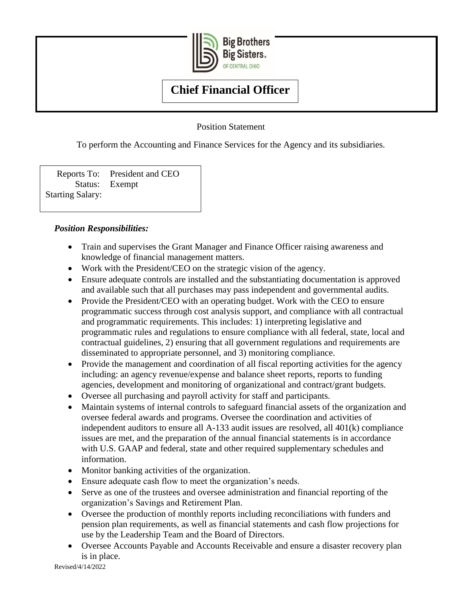

**Big Brothers** Big Sisters. OF CENTRAL OHIO

# **Chief Financial Officer**

Position Statement

To perform the Accounting and Finance Services for the Agency and its subsidiaries.

Reports To: President and CEO Status: Exempt Starting Salary:

# *Position Responsibilities:*

- Train and supervises the Grant Manager and Finance Officer raising awareness and knowledge of financial management matters.
- Work with the President/CEO on the strategic vision of the agency.
- Ensure adequate controls are installed and the substantiating documentation is approved and available such that all purchases may pass independent and governmental audits.
- Provide the President/CEO with an operating budget. Work with the CEO to ensure programmatic success through cost analysis support, and compliance with all contractual and programmatic requirements. This includes: 1) interpreting legislative and programmatic rules and regulations to ensure compliance with all federal, state, local and contractual guidelines, 2) ensuring that all government regulations and requirements are disseminated to appropriate personnel, and 3) monitoring compliance.
- Provide the management and coordination of all fiscal reporting activities for the agency including: an agency revenue/expense and balance sheet reports, reports to funding agencies, development and monitoring of organizational and contract/grant budgets.
- Oversee all purchasing and payroll activity for staff and participants.
- Maintain systems of internal controls to safeguard financial assets of the organization and oversee federal awards and programs. Oversee the coordination and activities of independent auditors to ensure all A-133 audit issues are resolved, all 401(k) compliance issues are met, and the preparation of the annual financial statements is in accordance with U.S. GAAP and federal, state and other required supplementary schedules and information.
- Monitor banking activities of the organization.
- Ensure adequate cash flow to meet the organization's needs.
- Serve as one of the trustees and oversee administration and financial reporting of the organization's Savings and Retirement Plan.
- Oversee the production of monthly reports including reconciliations with funders and pension plan requirements, as well as financial statements and cash flow projections for use by the Leadership Team and the Board of Directors.
- Oversee Accounts Payable and Accounts Receivable and ensure a disaster recovery plan is in place.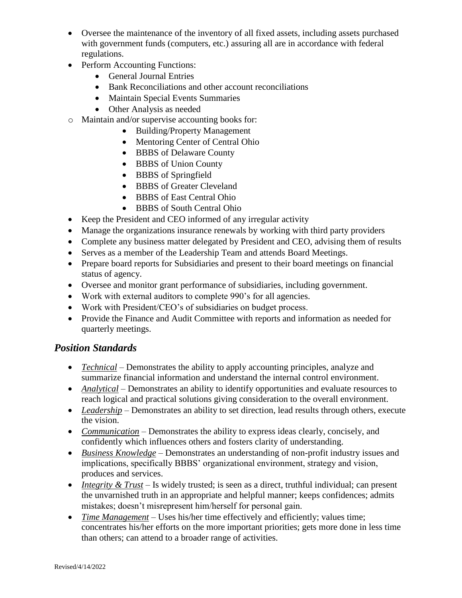- Oversee the maintenance of the inventory of all fixed assets, including assets purchased with government funds (computers, etc.) assuring all are in accordance with federal regulations.
- Perform Accounting Functions:
	- General Journal Entries
	- Bank Reconciliations and other account reconciliations
	- Maintain Special Events Summaries
	- Other Analysis as needed
- o Maintain and/or supervise accounting books for:
	- Building/Property Management
	- Mentoring Center of Central Ohio
	- BBBS of Delaware County
	- BBBS of Union County
	- BBBS of Springfield
	- BBBS of Greater Cleveland
	- BBBS of East Central Ohio
	- BBBS of South Central Ohio
- Keep the President and CEO informed of any irregular activity
- Manage the organizations insurance renewals by working with third party providers
- Complete any business matter delegated by President and CEO, advising them of results
- Serves as a member of the Leadership Team and attends Board Meetings.
- Prepare board reports for Subsidiaries and present to their board meetings on financial status of agency.
- Oversee and monitor grant performance of subsidiaries, including government.
- Work with external auditors to complete 990's for all agencies.
- Work with President/CEO's of subsidiaries on budget process.
- Provide the Finance and Audit Committee with reports and information as needed for quarterly meetings.

## *Position Standards*

- *Technical* Demonstrates the ability to apply accounting principles, analyze and summarize financial information and understand the internal control environment.
- *Analytical* Demonstrates an ability to identify opportunities and evaluate resources to reach logical and practical solutions giving consideration to the overall environment.
- Leadership Demonstrates an ability to set direction, lead results through others, execute the vision.
- *Communication* Demonstrates the ability to express ideas clearly, concisely, and confidently which influences others and fosters clarity of understanding.
- *Business Knowledge* Demonstrates an understanding of non-profit industry issues and implications, specifically BBBS' organizational environment, strategy and vision, produces and services.
- *Integrity & Trust* Is widely trusted; is seen as a direct, truthful individual; can present the unvarnished truth in an appropriate and helpful manner; keeps confidences; admits mistakes; doesn't misrepresent him/herself for personal gain.
- *Time Management* Uses his/her time effectively and efficiently; values time; concentrates his/her efforts on the more important priorities; gets more done in less time than others; can attend to a broader range of activities.